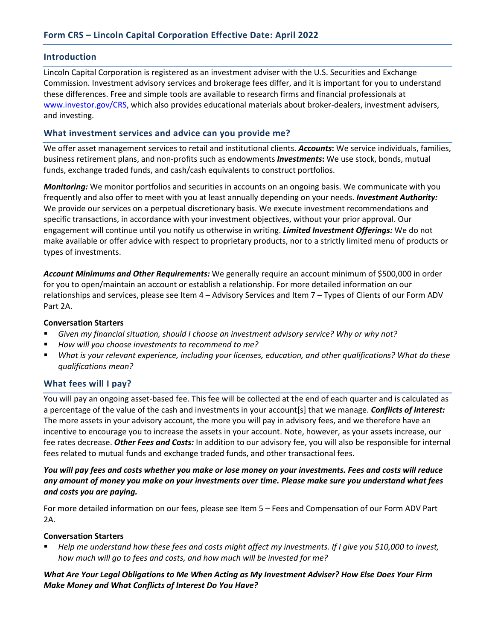### **Introduction**

Lincoln Capital Corporation is registered as an investment adviser with the U.S. Securities and Exchange Commission. Investment advisory services and brokerage fees differ, and it is important for you to understand these differences. Free and simple tools are available to research firms and financial professionals at [www.investor.gov/CRS,](http://www.investor.gov/CRS) which also provides educational materials about broker-dealers, investment advisers, and investing.

# **What investment services and advice can you provide me?**

We offer asset management services to retail and institutional clients. *Accounts***:** We service individuals, families, business retirement plans, and non-profits such as endowments *Investments***:** We use stock, bonds, mutual funds, exchange traded funds, and cash/cash equivalents to construct portfolios.

*Monitoring:* We monitor portfolios and securities in accounts on an ongoing basis. We communicate with you frequently and also offer to meet with you at least annually depending on your needs. *Investment Authority:* We provide our services on a perpetual discretionary basis. We execute investment recommendations and specific transactions, in accordance with your investment objectives, without your prior approval. Our engagement will continue until you notify us otherwise in writing. *Limited Investment Offerings:* We do not make available or offer advice with respect to proprietary products, nor to a strictly limited menu of products or types of investments.

*Account Minimums and Other Requirements:* We generally require an account minimum of \$500,000 in order for you to open/maintain an account or establish a relationship. For more detailed information on our relationships and services, please see Item 4 – Advisory Services and Item 7 – Types of Clients of our Form ADV Part 2A.

#### **Conversation Starters**

- *Given my financial situation, should I choose an investment advisory service? Why or why not?*
- *How will you choose investments to recommend to me?*
- *What is your relevant experience, including your licenses, education, and other qualifications? What do these qualifications mean?*

### **What fees will I pay?**

You will pay an ongoing asset-based fee. This fee will be collected at the end of each quarter and is calculated as a percentage of the value of the cash and investments in your account[s] that we manage. *Conflicts of Interest:* The more assets in your advisory account, the more you will pay in advisory fees, and we therefore have an incentive to encourage you to increase the assets in your account. Note, however, as your assets increase, our fee rates decrease. *Other Fees and Costs:* In addition to our advisory fee, you will also be responsible for internal fees related to mutual funds and exchange traded funds, and other transactional fees.

### *You will pay fees and costs whether you make or lose money on your investments. Fees and costs will reduce any amount of money you make on your investments over time. Please make sure you understand what fees and costs you are paying.*

For more detailed information on our fees, please see Item 5 – Fees and Compensation of our Form ADV Part 2A.

### **Conversation Starters**

 *Help me understand how these fees and costs might affect my investments. If I give you \$10,000 to invest, how much will go to fees and costs, and how much will be invested for me?*

*What Are Your Legal Obligations to Me When Acting as My Investment Adviser? How Else Does Your Firm Make Money and What Conflicts of Interest Do You Have?*